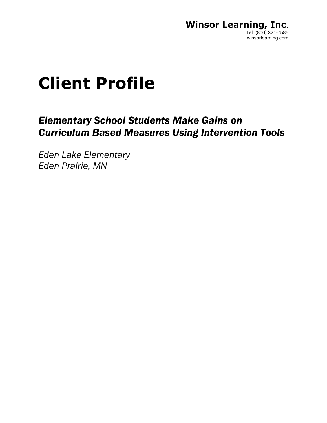#### **Winsor Learning, Inc**. Tel: (800) 321-7585 winsorlearning.com  $\_$  ,  $\_$  ,  $\_$  ,  $\_$  ,  $\_$  ,  $\_$  ,  $\_$  ,  $\_$  ,  $\_$  ,  $\_$  ,  $\_$  ,  $\_$  ,  $\_$  ,  $\_$  ,  $\_$  ,  $\_$  ,  $\_$  ,  $\_$  ,  $\_$  ,  $\_$  ,  $\_$  ,  $\_$  ,  $\_$  ,  $\_$  ,  $\_$  ,  $\_$  ,  $\_$  ,  $\_$  ,  $\_$  ,  $\_$  ,  $\_$  ,  $\_$  ,  $\_$  ,  $\_$  ,  $\_$  ,  $\_$  ,  $\_$  ,

# **Client Profile**

## *Elementary School Students Make Gains on Curriculum Based Measures Using Intervention Tools*

*Eden Lake Elementary Eden Prairie, MN*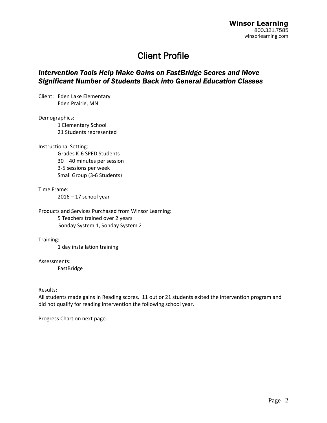## Client Profile

### *Intervention Tools Help Make Gains on FastBridge Scores and Move Significant Number of Students Back into General Education Classes*

Client: Eden Lake Elementary Eden Prairie, MN

Demographics:

1 Elementary School 21 Students represented

Instructional Setting:

Grades K-6 SPED Students 30 – 40 minutes per session 3-5 sessions per week Small Group (3-6 Students)

Time Frame:

 $2016 - 17$  school year

Products and Services Purchased from Winsor Learning: 5 Teachers trained over 2 years Sonday System 1, Sonday System 2

Training:

1 day installation training

Assessments:

FastBridge

Results:

All students made gains in Reading scores. 11 out or 21 students exited the intervention program and did not qualify for reading intervention the following school year.

Progress Chart on next page.